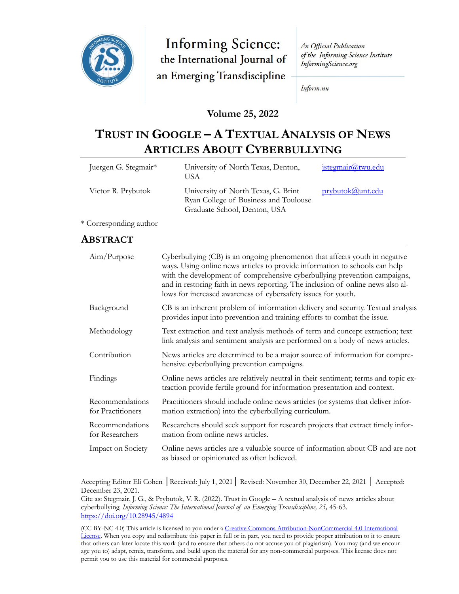

**Informing Science:** the International Journal of an Emerging Transdiscipline

An Official Publication of the Informing Science Institute InformingScience.org

Inform.nu

#### **Volume 25, 2022**

# **TRUST IN GOOGLE – A TEXTUAL ANALYSIS OF NEWS ARTICLES ABOUT CYBERBULLYING**

| Juergen G. Stegmair* | University of North Texas, Denton,<br>USA                                                                    | jstegmair@twu.edu |
|----------------------|--------------------------------------------------------------------------------------------------------------|-------------------|
| Victor R. Prybutok   | University of North Texas, G. Brint<br>Ryan College of Business and Toulouse<br>Graduate School, Denton, USA | prybutok@unt.edu  |

\* Corresponding author

#### **ABSTRACT**

| Aim/Purpose                          | Cyberbullying (CB) is an ongoing phenomenon that affects youth in negative<br>ways. Using online news articles to provide information to schools can help<br>with the development of comprehensive cyberbullying prevention campaigns,<br>and in restoring faith in news reporting. The inclusion of online news also al-<br>lows for increased awareness of cybersafety issues for youth. |
|--------------------------------------|--------------------------------------------------------------------------------------------------------------------------------------------------------------------------------------------------------------------------------------------------------------------------------------------------------------------------------------------------------------------------------------------|
| Background                           | CB is an inherent problem of information delivery and security. Textual analysis<br>provides input into prevention and training efforts to combat the issue.                                                                                                                                                                                                                               |
| Methodology                          | Text extraction and text analysis methods of term and concept extraction; text<br>link analysis and sentiment analysis are performed on a body of news articles.                                                                                                                                                                                                                           |
| Contribution                         | News articles are determined to be a major source of information for compre-<br>hensive cyberbullying prevention campaigns.                                                                                                                                                                                                                                                                |
| Findings                             | Online news articles are relatively neutral in their sentiment; terms and topic ex-<br>traction provide fertile ground for information presentation and context.                                                                                                                                                                                                                           |
| Recommendations<br>for Practitioners | Practitioners should include online news articles (or systems that deliver infor-<br>mation extraction) into the cyberbullying curriculum.                                                                                                                                                                                                                                                 |
| Recommendations<br>for Researchers   | Researchers should seek support for research projects that extract timely infor-<br>mation from online news articles.                                                                                                                                                                                                                                                                      |
| Impact on Society                    | Online news articles are a valuable source of information about CB and are not<br>as biased or opinionated as often believed.                                                                                                                                                                                                                                                              |

Accepting Editor Eli Cohen │Received: July 1, 2021│ Revised: November 30, December 22, 2021 │ Accepted: December 23, 2021.

Cite as: Stegmair, J. G., & Prybutok, V. R. (2022). Trust in Google – A textual analysis of news articles about cyberbullying. *Informing Science: The International Journal of an Emerging Transdiscipline, 25,* 45-63. <https://doi.org/10.28945/4894>

(CC BY-NC 4.0) This article is licensed to you under a Creative Commons Attribution-[NonCommercial 4.0 International](https://creativecommons.org/licenses/by-nc/4.0/)  [License.](https://creativecommons.org/licenses/by-nc/4.0/) When you copy and redistribute this paper in full or in part, you need to provide proper attribution to it to ensure that others can later locate this work (and to ensure that others do not accuse you of plagiarism). You may (and we encourage you to) adapt, remix, transform, and build upon the material for any non-commercial purposes. This license does not permit you to use this material for commercial purposes.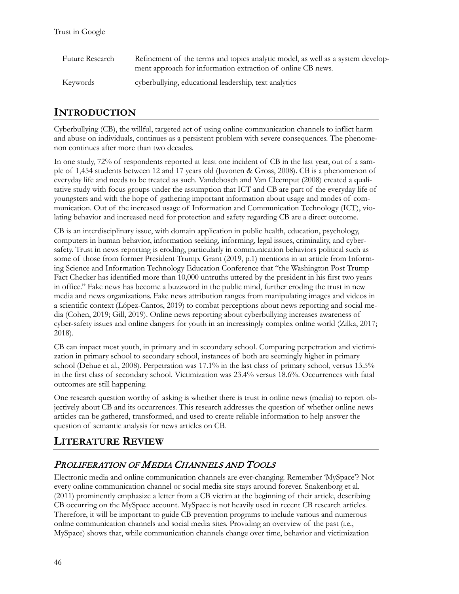| Future Research | Refinement of the terms and topics analytic model, as well as a system develop-<br>ment approach for information extraction of online CB news. |
|-----------------|------------------------------------------------------------------------------------------------------------------------------------------------|
| Keywords        | cyberbullying, educational leadership, text analytics                                                                                          |

# **INTRODUCTION**

Cyberbullying (CB), the willful, targeted act of using online communication channels to inflict harm and abuse on individuals, continues as a persistent problem with severe consequences. The phenomenon continues after more than two decades.

In one study, 72% of respondents reported at least one incident of CB in the last year, out of a sample of 1,454 students between 12 and 17 years old (Juvonen & Gross, 2008). CB is a phenomenon of everyday life and needs to be treated as such. Vandebosch and Van Cleemput (2008) created a qualitative study with focus groups under the assumption that ICT and CB are part of the everyday life of youngsters and with the hope of gathering important information about usage and modes of communication. Out of the increased usage of Information and Communication Technology (ICT), violating behavior and increased need for protection and safety regarding CB are a direct outcome.

CB is an interdisciplinary issue, with domain application in public health, education, psychology, computers in human behavior, information seeking, informing, legal issues, criminality, and cybersafety. Trust in news reporting is eroding, particularly in communication behaviors political such as some of those from former President Trump. Grant (2019, p.1) mentions in an article from Informing Science and Information Technology Education Conference that "the Washington Post Trump Fact Checker has identified more than 10,000 untruths uttered by the president in his first two years in office." Fake news has become a buzzword in the public mind, further eroding the trust in new media and news organizations. Fake news attribution ranges from manipulating images and videos in a scientific context (López-Cantos, 2019) to combat perceptions about news reporting and social media (Cohen, 2019; Gill, 2019). Online news reporting about cyberbullying increases awareness of cyber-safety issues and online dangers for youth in an increasingly complex online world (Zilka, 2017; 2018).

CB can impact most youth, in primary and in secondary school. Comparing perpetration and victimization in primary school to secondary school, instances of both are seemingly higher in primary school (Dehue et al., 2008). Perpetration was 17.1% in the last class of primary school, versus 13.5% in the first class of secondary school. Victimization was 23.4% versus 18.6%. Occurrences with fatal outcomes are still happening.

One research question worthy of asking is whether there is trust in online news (media) to report objectively about CB and its occurrences. This research addresses the question of whether online news articles can be gathered, transformed, and used to create reliable information to help answer the question of semantic analysis for news articles on CB.

# **LITERATURE REVIEW**

# PROLIFERATION OF MEDIA CHANNELS AND TOOLS

Electronic media and online communication channels are ever-changing. Remember 'MySpace'? Not every online communication channel or social media site stays around forever. Snakenborg et al. (2011) prominently emphasize a letter from a CB victim at the beginning of their article, describing CB occurring on the MySpace account. MySpace is not heavily used in recent CB research articles. Therefore, it will be important to guide CB prevention programs to include various and numerous online communication channels and social media sites. Providing an overview of the past (i.e., MySpace) shows that, while communication channels change over time, behavior and victimization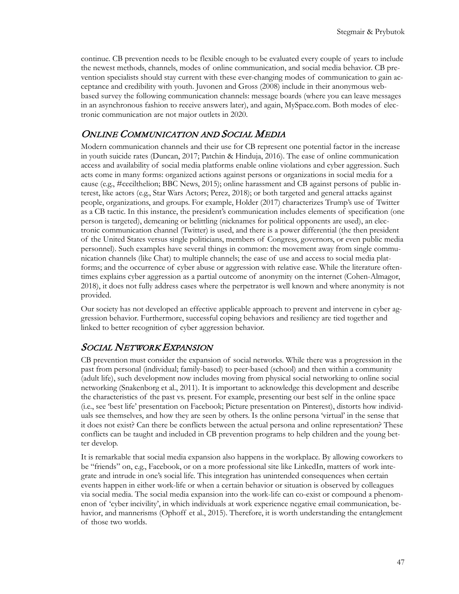continue. CB prevention needs to be flexible enough to be evaluated every couple of years to include the newest methods, channels, modes of online communication, and social media behavior. CB prevention specialists should stay current with these ever-changing modes of communication to gain acceptance and credibility with youth. Juvonen and Gross (2008) include in their anonymous webbased survey the following communication channels: message boards (where you can leave messages in an asynchronous fashion to receive answers later), and again, MySpace.com. Both modes of electronic communication are not major outlets in 2020.

### ONLINE COMMUNICATION AND SOCIAL MEDIA

Modern communication channels and their use for CB represent one potential factor in the increase in youth suicide rates (Duncan, 2017; Patchin & Hinduja, 2016). The ease of online communication access and availability of social media platforms enable online violations and cyber aggression. Such acts come in many forms: organized actions against persons or organizations in social media for a cause (e.g., #cecilthelion; BBC News, 2015); online harassment and CB against persons of public interest, like actors (e.g., Star Wars Actors; Perez, 2018); or both targeted and general attacks against people, organizations, and groups. For example, Holder (2017) characterizes Trump's use of Twitter as a CB tactic. In this instance, the president's communication includes elements of specification (one person is targeted), demeaning or belittling (nicknames for political opponents are used), an electronic communication channel (Twitter) is used, and there is a power differential (the then president of the United States versus single politicians, members of Congress, governors, or even public media personnel). Such examples have several things in common: the movement away from single communication channels (like Chat) to multiple channels; the ease of use and access to social media platforms; and the occurrence of cyber abuse or aggression with relative ease. While the literature oftentimes explains cyber aggression as a partial outcome of anonymity on the internet (Cohen-Almagor, 2018), it does not fully address cases where the perpetrator is well known and where anonymity is not provided.

Our society has not developed an effective applicable approach to prevent and intervene in cyber aggression behavior. Furthermore, successful coping behaviors and resiliency are tied together and linked to better recognition of cyber aggression behavior.

### SOCIAL NETWORK EXPANSION

CB prevention must consider the expansion of social networks. While there was a progression in the past from personal (individual; family-based) to peer-based (school) and then within a community (adult life), such development now includes moving from physical social networking to online social networking (Snakenborg et al., 2011). It is important to acknowledge this development and describe the characteristics of the past vs. present. For example, presenting our best self in the online space (i.e., see 'best life' presentation on Facebook; Picture presentation on Pinterest), distorts how individuals see themselves, and how they are seen by others. Is the online persona 'virtual' in the sense that it does not exist? Can there be conflicts between the actual persona and online representation? These conflicts can be taught and included in CB prevention programs to help children and the young better develop.

It is remarkable that social media expansion also happens in the workplace. By allowing coworkers to be "friends" on, e.g., Facebook, or on a more professional site like LinkedIn, matters of work integrate and intrude in one's social life. This integration has unintended consequences when certain events happen in either work-life or when a certain behavior or situation is observed by colleagues via social media. The social media expansion into the work-life can co-exist or compound a phenomenon of 'cyber incivility', in which individuals at work experience negative email communication, behavior, and mannerisms (Ophoff et al., 2015). Therefore, it is worth understanding the entanglement of those two worlds.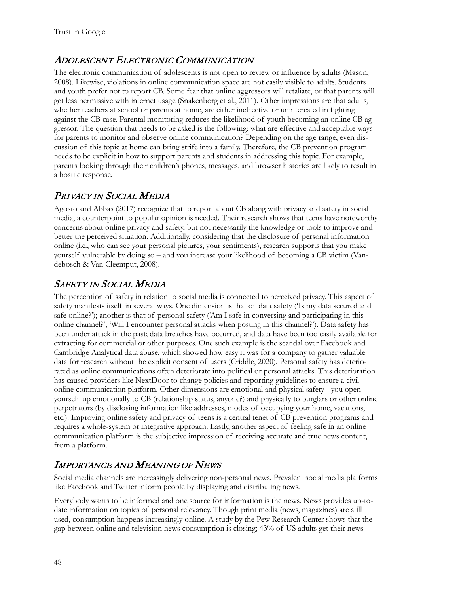# ADOLESCENT ELECTRONIC COMMUNICATION

The electronic communication of adolescents is not open to review or influence by adults (Mason, 2008). Likewise, violations in online communication space are not easily visible to adults. Students and youth prefer not to report CB. Some fear that online aggressors will retaliate, or that parents will get less permissive with internet usage (Snakenborg et al., 2011). Other impressions are that adults, whether teachers at school or parents at home, are either ineffective or uninterested in fighting against the CB case. Parental monitoring reduces the likelihood of youth becoming an online CB aggressor. The question that needs to be asked is the following: what are effective and acceptable ways for parents to monitor and observe online communication? Depending on the age range, even discussion of this topic at home can bring strife into a family. Therefore, the CB prevention program needs to be explicit in how to support parents and students in addressing this topic. For example, parents looking through their children's phones, messages, and browser histories are likely to result in a hostile response.

# PRIVACY IN SOCIAL MEDIA

Agosto and Abbas (2017) recognize that to report about CB along with privacy and safety in social media, a counterpoint to popular opinion is needed. Their research shows that teens have noteworthy concerns about online privacy and safety, but not necessarily the knowledge or tools to improve and better the perceived situation. Additionally, considering that the disclosure of personal information online (i.e., who can see your personal pictures, your sentiments), research supports that you make yourself vulnerable by doing so – and you increase your likelihood of becoming a CB victim (Vandebosch & Van Cleemput, 2008).

# SAFETY IN SOCIAL MEDIA

The perception of safety in relation to social media is connected to perceived privacy. This aspect of safety manifests itself in several ways. One dimension is that of data safety ('Is my data secured and safe online?'); another is that of personal safety ('Am I safe in conversing and participating in this online channel?', 'Will I encounter personal attacks when posting in this channel?'). Data safety has been under attack in the past; data breaches have occurred, and data have been too easily available for extracting for commercial or other purposes. One such example is the scandal over Facebook and Cambridge Analytical data abuse, which showed how easy it was for a company to gather valuable data for research without the explicit consent of users (Criddle, 2020). Personal safety has deteriorated as online communications often deteriorate into political or personal attacks. This deterioration has caused providers like NextDoor to change policies and reporting guidelines to ensure a civil online communication platform. Other dimensions are emotional and physical safety - you open yourself up emotionally to CB (relationship status, anyone?) and physically to burglars or other online perpetrators (by disclosing information like addresses, modes of occupying your home, vacations, etc.). Improving online safety and privacy of teens is a central tenet of CB prevention programs and requires a whole-system or integrative approach. Lastly, another aspect of feeling safe in an online communication platform is the subjective impression of receiving accurate and true news content, from a platform.

# IMPORTANCE AND MEANING OF NEWS

Social media channels are increasingly delivering non-personal news. Prevalent social media platforms like Facebook and Twitter inform people by displaying and distributing news.

Everybody wants to be informed and one source for information is the news. News provides up-todate information on topics of personal relevancy. Though print media (news, magazines) are still used, consumption happens increasingly online. A study by the Pew Research Center shows that the gap between online and television news consumption is closing; 43% of US adults get their news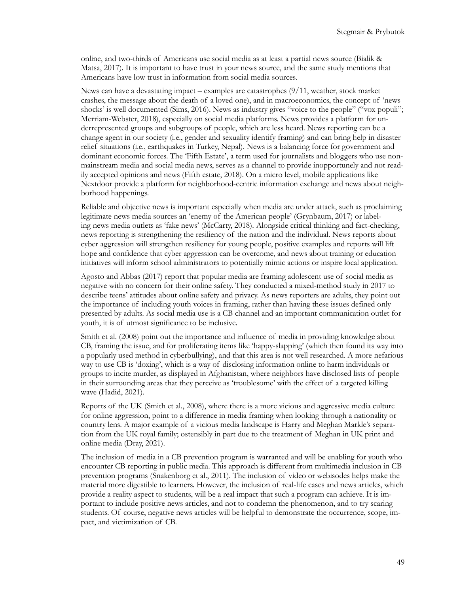online, and two-thirds of Americans use social media as at least a partial news source (Bialik & Matsa, 2017). It is important to have trust in your news source, and the same study mentions that Americans have low trust in information from social media sources.

News can have a devastating impact – examples are catastrophes  $(9/11)$ , weather, stock market crashes, the message about the death of a loved one), and in macroeconomics, the concept of 'news shocks' is well documented (Sims, 2016). News as industry gives "voice to the people" ("vox populi"; Merriam-Webster, 2018), especially on social media platforms. News provides a platform for underrepresented groups and subgroups of people, which are less heard. News reporting can be a change agent in our society (i.e., gender and sexuality identify framing) and can bring help in disaster relief situations (i.e., earthquakes in Turkey, Nepal). News is a balancing force for government and dominant economic forces. The 'Fifth Estate', a term used for journalists and bloggers who use nonmainstream media and social media news, serves as a channel to provide inopportunely and not readily accepted opinions and news (Fifth estate, 2018). On a micro level, mobile applications like Nextdoor provide a platform for neighborhood-centric information exchange and news about neighborhood happenings.

Reliable and objective news is important especially when media are under attack, such as proclaiming legitimate news media sources an 'enemy of the American people' (Grynbaum, 2017) or labeling news media outlets as 'fake news' (McCarty, 2018). Alongside critical thinking and fact-checking, news reporting is strengthening the resiliency of the nation and the individual. News reports about cyber aggression will strengthen resiliency for young people, positive examples and reports will lift hope and confidence that cyber aggression can be overcome, and news about training or education initiatives will inform school administrators to potentially mimic actions or inspire local application.

Agosto and Abbas (2017) report that popular media are framing adolescent use of social media as negative with no concern for their online safety. They conducted a mixed-method study in 2017 to describe teens' attitudes about online safety and privacy. As news reporters are adults, they point out the importance of including youth voices in framing, rather than having these issues defined only presented by adults. As social media use is a CB channel and an important communication outlet for youth, it is of utmost significance to be inclusive.

Smith et al. (2008) point out the importance and influence of media in providing knowledge about CB, framing the issue, and for proliferating items like 'happy-slapping' (which then found its way into a popularly used method in cyberbullying), and that this area is not well researched. A more nefarious way to use CB is 'doxing', which is a way of disclosing information online to harm individuals or groups to incite murder, as displayed in Afghanistan, where neighbors have disclosed lists of people in their surrounding areas that they perceive as 'troublesome' with the effect of a targeted killing wave (Hadid, 2021).

Reports of the UK (Smith et al., 2008), where there is a more vicious and aggressive media culture for online aggression, point to a difference in media framing when looking through a nationality or country lens. A major example of a vicious media landscape is Harry and Meghan Markle's separation from the UK royal family; ostensibly in part due to the treatment of Meghan in UK print and online media (Dray, 2021).

The inclusion of media in a CB prevention program is warranted and will be enabling for youth who encounter CB reporting in public media. This approach is different from multimedia inclusion in CB prevention programs (Snakenborg et al., 2011). The inclusion of video or webisodes helps make the material more digestible to learners. However, the inclusion of real-life cases and news articles, which provide a reality aspect to students, will be a real impact that such a program can achieve. It is important to include positive news articles, and not to condemn the phenomenon, and to try scaring students. Of course, negative news articles will be helpful to demonstrate the occurrence, scope, impact, and victimization of CB.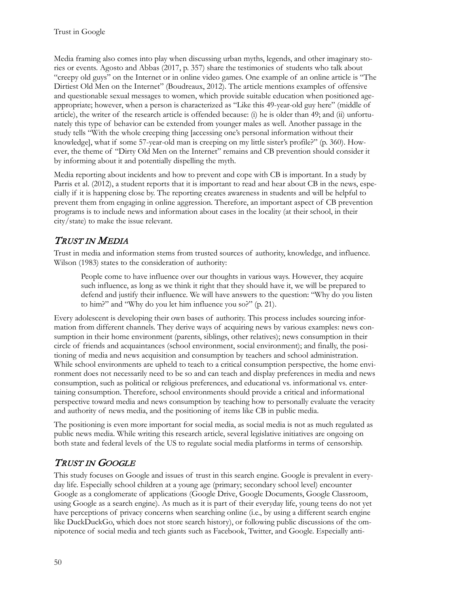Media framing also comes into play when discussing urban myths, legends, and other imaginary stories or events. Agosto and Abbas (2017, p. 357) share the testimonies of students who talk about "creepy old guys" on the Internet or in online video games. One example of an online article is "The Dirtiest Old Men on the Internet" (Boudreaux, 2012). The article mentions examples of offensive and questionable sexual messages to women, which provide suitable education when positioned ageappropriate; however, when a person is characterized as "Like this 49-year-old guy here" (middle of article), the writer of the research article is offended because: (i) he is older than 49; and (ii) unfortunately this type of behavior can be extended from younger males as well. Another passage in the study tells "With the whole creeping thing [accessing one's personal information without their knowledge], what if some 57-year-old man is creeping on my little sister's profile?" (p. 360). However, the theme of "Dirty Old Men on the Internet" remains and CB prevention should consider it by informing about it and potentially dispelling the myth.

Media reporting about incidents and how to prevent and cope with CB is important. In a study by Parris et al. (2012), a student reports that it is important to read and hear about CB in the news, especially if it is happening close by. The reporting creates awareness in students and will be helpful to prevent them from engaging in online aggression. Therefore, an important aspect of CB prevention programs is to include news and information about cases in the locality (at their school, in their city/state) to make the issue relevant.

# TRUST IN MEDIA

Trust in media and information stems from trusted sources of authority, knowledge, and influence. Wilson (1983) states to the consideration of authority:

People come to have influence over our thoughts in various ways. However, they acquire such influence, as long as we think it right that they should have it, we will be prepared to defend and justify their influence. We will have answers to the question: "Why do you listen to him?" and "Why do you let him influence you so?" (p. 21).

Every adolescent is developing their own bases of authority. This process includes sourcing information from different channels. They derive ways of acquiring news by various examples: news consumption in their home environment (parents, siblings, other relatives); news consumption in their circle of friends and acquaintances (school environment, social environment); and finally, the positioning of media and news acquisition and consumption by teachers and school administration. While school environments are upheld to teach to a critical consumption perspective, the home environment does not necessarily need to be so and can teach and display preferences in media and news consumption, such as political or religious preferences, and educational vs. informational vs. entertaining consumption. Therefore, school environments should provide a critical and informational perspective toward media and news consumption by teaching how to personally evaluate the veracity and authority of news media, and the positioning of items like CB in public media.

The positioning is even more important for social media, as social media is not as much regulated as public news media. While writing this research article, several legislative initiatives are ongoing on both state and federal levels of the US to regulate social media platforms in terms of censorship.

# TRUST IN GOOGLE

This study focuses on Google and issues of trust in this search engine. Google is prevalent in everyday life. Especially school children at a young age (primary; secondary school level) encounter Google as a conglomerate of applications (Google Drive, Google Documents, Google Classroom, using Google as a search engine). As much as it is part of their everyday life, young teens do not yet have perceptions of privacy concerns when searching online (i.e., by using a different search engine like DuckDuckGo, which does not store search history), or following public discussions of the omnipotence of social media and tech giants such as Facebook, Twitter, and Google. Especially anti-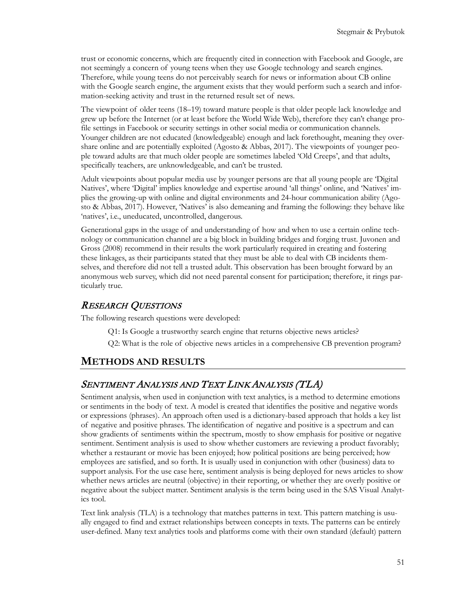trust or economic concerns, which are frequently cited in connection with Facebook and Google, are not seemingly a concern of young teens when they use Google technology and search engines. Therefore, while young teens do not perceivably search for news or information about CB online with the Google search engine, the argument exists that they would perform such a search and information-seeking activity and trust in the returned result set of news.

The viewpoint of older teens (18–19) toward mature people is that older people lack knowledge and grew up before the Internet (or at least before the World Wide Web), therefore they can't change profile settings in Facebook or security settings in other social media or communication channels. Younger children are not educated (knowledgeable) enough and lack forethought, meaning they overshare online and are potentially exploited (Agosto & Abbas, 2017). The viewpoints of younger people toward adults are that much older people are sometimes labeled 'Old Creeps', and that adults, specifically teachers, are unknowledgeable, and can't be trusted.

Adult viewpoints about popular media use by younger persons are that all young people are 'Digital Natives', where 'Digital' implies knowledge and expertise around 'all things' online, and 'Natives' implies the growing-up with online and digital environments and 24-hour communication ability (Agosto & Abbas, 2017). However, 'Natives' is also demeaning and framing the following: they behave like 'natives', i.e., uneducated, uncontrolled, dangerous.

Generational gaps in the usage of and understanding of how and when to use a certain online technology or communication channel are a big block in building bridges and forging trust. Juvonen and Gross (2008) recommend in their results the work particularly required in creating and fostering these linkages, as their participants stated that they must be able to deal with CB incidents themselves, and therefore did not tell a trusted adult. This observation has been brought forward by an anonymous web survey, which did not need parental consent for participation; therefore, it rings particularly true.

#### RESEARCH QUESTIONS

The following research questions were developed:

- Q1: Is Google a trustworthy search engine that returns objective news articles?
- Q2: What is the role of objective news articles in a comprehensive CB prevention program?

### **METHODS AND RESULTS**

#### SENTIMENT ANALYSIS AND TEXT LINK ANALYSIS (TLA)

Sentiment analysis, when used in conjunction with text analytics, is a method to determine emotions or sentiments in the body of text. A model is created that identifies the positive and negative words or expressions (phrases). An approach often used is a dictionary-based approach that holds a key list of negative and positive phrases. The identification of negative and positive is a spectrum and can show gradients of sentiments within the spectrum, mostly to show emphasis for positive or negative sentiment. Sentiment analysis is used to show whether customers are reviewing a product favorably; whether a restaurant or movie has been enjoyed; how political positions are being perceived; how employees are satisfied, and so forth. It is usually used in conjunction with other (business) data to support analysis. For the use case here, sentiment analysis is being deployed for news articles to show whether news articles are neutral (objective) in their reporting, or whether they are overly positive or negative about the subject matter. Sentiment analysis is the term being used in the SAS Visual Analytics tool.

Text link analysis (TLA) is a technology that matches patterns in text. This pattern matching is usually engaged to find and extract relationships between concepts in texts. The patterns can be entirely user-defined. Many text analytics tools and platforms come with their own standard (default) pattern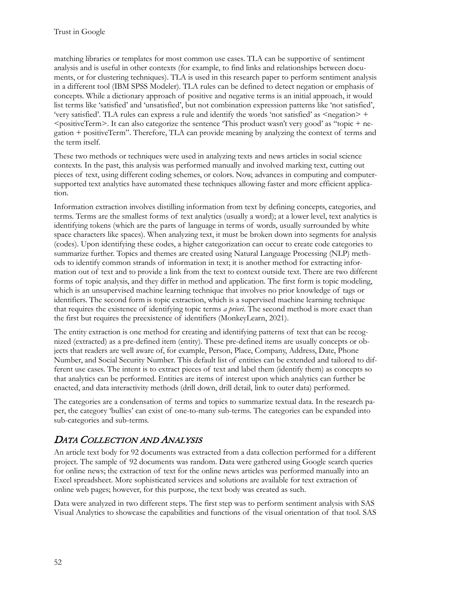matching libraries or templates for most common use cases. TLA can be supportive of sentiment analysis and is useful in other contexts (for example, to find links and relationships between documents, or for clustering techniques). TLA is used in this research paper to perform sentiment analysis in a different tool (IBM SPSS Modeler). TLA rules can be defined to detect negation or emphasis of concepts. While a dictionary approach of positive and negative terms is an initial approach, it would list terms like 'satisfied' and 'unsatisfied', but not combination expression patterns like 'not satisfied', 'very satisfied'. TLA rules can express a rule and identify the words 'not satisfied' as <negation> +  $\epsilon$  spositiveTerm>. It can also categorize the sentence This product wasn't very good' as "topic + negation + positiveTerm". Therefore, TLA can provide meaning by analyzing the context of terms and the term itself.

These two methods or techniques were used in analyzing texts and news articles in social science contexts. In the past, this analysis was performed manually and involved marking text, cutting out pieces of text, using different coding schemes, or colors. Now, advances in computing and computersupported text analytics have automated these techniques allowing faster and more efficient application.

Information extraction involves distilling information from text by defining concepts, categories, and terms. Terms are the smallest forms of text analytics (usually a word); at a lower level, text analytics is identifying tokens (which are the parts of language in terms of words, usually surrounded by white space characters like spaces). When analyzing text, it must be broken down into segments for analysis (codes). Upon identifying these codes, a higher categorization can occur to create code categories to summarize further. Topics and themes are created using Natural Language Processing (NLP) methods to identify common strands of information in text; it is another method for extracting information out of text and to provide a link from the text to context outside text. There are two different forms of topic analysis, and they differ in method and application. The first form is topic modeling, which is an unsupervised machine learning technique that involves no prior knowledge of tags or identifiers. The second form is topic extraction, which is a supervised machine learning technique that requires the existence of identifying topic terms *a priori*. The second method is more exact than the first but requires the preexistence of identifiers (MonkeyLearn, 2021).

The entity extraction is one method for creating and identifying patterns of text that can be recognized (extracted) as a pre-defined item (entity). These pre-defined items are usually concepts or objects that readers are well aware of, for example, Person, Place, Company, Address, Date, Phone Number, and Social Security Number. This default list of entities can be extended and tailored to different use cases. The intent is to extract pieces of text and label them (identify them) as concepts so that analytics can be performed. Entities are items of interest upon which analytics can further be enacted, and data interactivity methods (drill down, drill detail, link to outer data) performed.

The categories are a condensation of terms and topics to summarize textual data. In the research paper, the category 'bullies' can exist of one-to-many sub-terms. The categories can be expanded into sub-categories and sub-terms.

# DATA COLLECTION AND ANALYSIS

An article text body for 92 documents was extracted from a data collection performed for a different project. The sample of 92 documents was random. Data were gathered using Google search queries for online news; the extraction of text for the online news articles was performed manually into an Excel spreadsheet. More sophisticated services and solutions are available for text extraction of online web pages; however, for this purpose, the text body was created as such.

Data were analyzed in two different steps. The first step was to perform sentiment analysis with SAS Visual Analytics to showcase the capabilities and functions of the visual orientation of that tool. SAS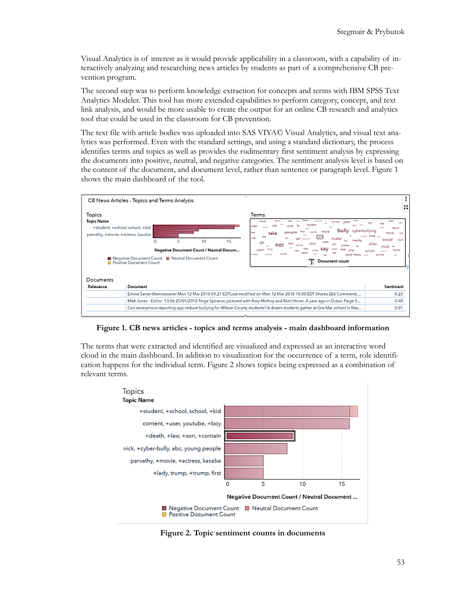Visual Analytics is of interest as it would provide applicability in a classroom, with a capability of interactively analyzing and researching news articles by students as part of a comprehensive CB prevention program.

The second step was to perform knowledge extraction for concepts and terms with IBM SPSS Text Analytics Modeler. This tool has more extended capabilities to perform category, concept, and text link analysis, and would be more usable to create the output for an online CB research and analytics tool that could be used in the classroom for CB prevention.

The text file with article bodies was uploaded into SAS VIYA© Visual Analytics, and visual text analytics was performed. Even with the standard settings, and using a standard dictionary, the process identifies terms and topics as well as provides the rudimentary first sentiment analysis by expressing the documents into positive, neutral, and negative categories. The sentiment analysis level is based on the content of the document, and document level, rather than sentence or paragraph level. Figure 1 shows the main dashboard of the tool.



**Figure 1. CB news articles - topics and terms analysis - main dashboard information**

The terms that were extracted and identified are visualized and expressed as an interactive word cloud in the main dashboard. In addition to visualization for the occurrence of a term, role identification happens for the individual term. Figure 2 shows topics being expressed as a combination of relevant terms.



**Figure 2. Topic sentiment counts in documents**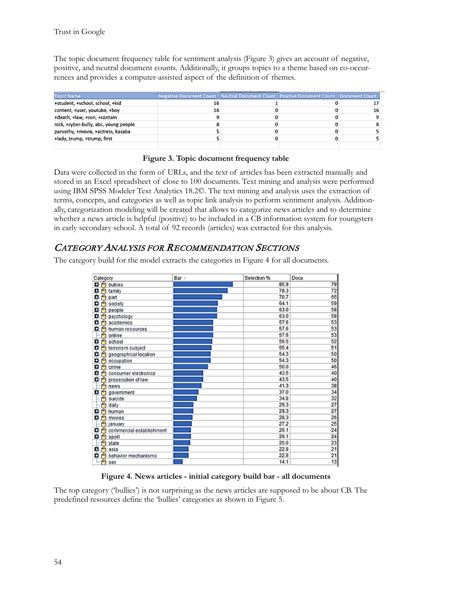The topic document frequency table for sentiment analysis (Figure 3) gives an account of negative, positive, and neutral document counts. Additionally, it groups topics to a theme based on co-occurrences and provides a computer-assisted aspect of the definition of themes.

| <b>Topic Name</b>                     | Negative Document Count Neutral Document Count Positive Document Count Document Count |  |  |
|---------------------------------------|---------------------------------------------------------------------------------------|--|--|
| +student, +school, school, +kid       |                                                                                       |  |  |
| content, +user, youtube, +boy         | 16                                                                                    |  |  |
| +death, +law, +son, +contain          |                                                                                       |  |  |
| nick, +cyber-bully, abc, young people |                                                                                       |  |  |
| parvathy, +movie, +actress, kasaba    |                                                                                       |  |  |
| +lady, trump, +trump, first           |                                                                                       |  |  |
|                                       |                                                                                       |  |  |

|  | Figure 3. Topic document frequency table |  |
|--|------------------------------------------|--|
|  |                                          |  |

Data were collected in the form of URLs, and the text of articles has been extracted manually and stored in an Excel spreadsheet of close to 100 documents. Text mining and analysis were performed using IBM SPSS Modeler Text Analytics 18.2©. The text mining and analysis uses the extraction of terms, concepts, and categories as well as topic link analysis to perform sentiment analysis. Additionally, categorization modeling will be created that allows to categorize news articles and to determine whether a news article is helpful (positive) to be included in a CB information system for youngsters in early secondary school. A total of 92 records (articles) was extracted for this analysis.

### CATEGORY ANALYSIS FOR RECOMMENDATION SECTIONS

The category build for the model extracts the categories in Figure 4 for all documents.

| Category                      | Bar / | Selection % | Docs |
|-------------------------------|-------|-------------|------|
| $\mathbf{D}$ oullies          |       | 85.9        | 79   |
| <b>f</b> family<br>۰          |       | 78.3        | 72   |
| ۰<br>part                     |       | 70.7        | 65   |
| ۰<br>society                  |       | 64.1        | 59   |
| ۰<br>people                   |       | 63.0        | 58   |
| o<br>psychology               |       | 63.0        | 58   |
| academics<br>o                |       | 57.6        | 53   |
| human resources<br>۰          |       | 57.6        | 53   |
| online                        |       | 57.6        | 53   |
| school<br>o                   |       | 56.5        | 52   |
| o<br>terrorism subject        |       | 55.4        | 51   |
| geographical location<br>۰    |       | 54.3        | 50   |
| ۰<br>occupation               |       | 54.3        | 50   |
| о<br>crime                    |       | 50.0        | 46   |
| consumer electronics<br>o     |       | 43.5        | 40   |
| prosecution of law<br>۰       |       | 43.5        | 40   |
| news                          |       | 41.3        | 38   |
| government<br>o.              |       | 37.0        | 34   |
| suicide                       |       | 34.8        | 32   |
| daily                         |       | 29.3        | 27   |
| ۰<br>human                    |       | 29.3        | 27   |
| ۰<br>movies                   |       | 28.3        | 26   |
| january                       |       | 27.2        | 25   |
| commercial establishment<br>۰ |       | 26.1        | 24   |
| ۰<br>sport                    |       | 26.1        | 24   |
| state                         |       | 25.0        | 23   |
| o<br>asia                     |       | 22.8        | 21   |
| o<br>behavior mechanisms      |       | 22.8        | 21   |
| Å<br>sex                      |       | 14.1        | 13   |

**Figure 4. News articles - initial category build bar - all documents**

The top category ('bullies') is not surprising as the news articles are supposed to be about CB. The predefined resources define the 'bullies' categories as shown in Figure 5.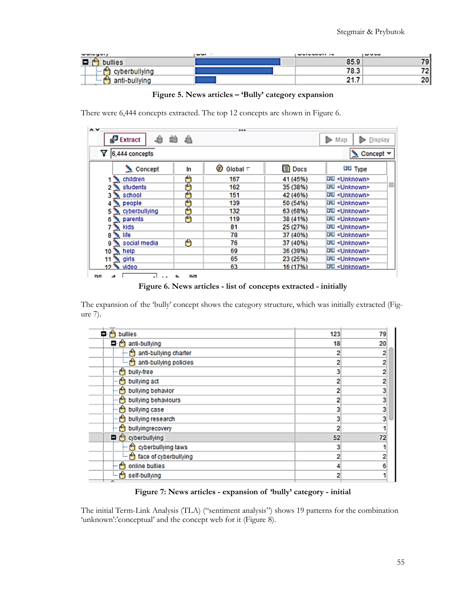| <b>Conceduit</b>            | $- -$ | <b>UVIVUUUI IV</b> | $- - - -$ |
|-----------------------------|-------|--------------------|-----------|
| 100<br>and the state of the |       | 85.9               |           |
|                             |       | 70.2<br>د.ه ا      |           |
| . .                         |       | .                  | ሳሰ        |

**Figure 5. News articles – 'Bully' category expansion**

There were 6,444 concepts extracted. The top 12 concepts are shown in Figure 6.

| Extract             | - 80 |                      |          | Map<br>Display          |
|---------------------|------|----------------------|----------|-------------------------|
| Y<br>6,444 concepts |      |                      |          | Concept Y               |
| Concept             | In   | ω<br>Global $\nabla$ | 目 Docs   | চ্চা Type               |
| 1 \ children        | Ä    | 167                  | 41 (45%) | 园 <unknown></unknown>   |
| students            | د    | 162                  | 35 (38%) | 园 <unknown></unknown>   |
| 3 School            |      | 151                  | 42 (46%) | 园 <unknown></unknown>   |
| people              |      | 139                  | 50 (54%) | Lid <unknown></unknown> |
| cyberbullying       |      | 132                  | 63 (68%) | 园 <unknown></unknown>   |
| parents             | Ā    | 119                  | 38 (41%) | Lid <unknown></unknown> |
| $\sum$ kids         |      | 81                   | 25 (27%) | 园 <unknown></unknown>   |
| N life              |      | 78                   | 37 (40%) | 园 <unknown></unknown>   |
| social media        | ۳    | 76                   | 37 (40%) | 园 <unknown></unknown>   |
| $10 \times$ help    |      | 69                   | 36 (39%) | 园 <unknown></unknown>   |
| 11 $\sum$ girls     |      | 65                   | 23 (25%) | 园 <unknown></unknown>   |
| 12 Mdeo             |      | 63.                  | 16 (17%) | 园 <unknown></unknown>   |

**Figure 6. News articles - list of concepts extracted - initially**

The expansion of the 'bully' concept shows the category structure, which was initially extracted (Figure 7).

| bullies<br>÷                       | 123 | 79 |
|------------------------------------|-----|----|
| 阜 d anti-bullying                  | 18  | 20 |
| - A anti-bullying charter          | 2   | 2  |
| anti-bullying policies             |     | 2  |
| bully-free                         |     | 2  |
| … <mark>th</mark> bullying act     |     | 2  |
| bullying behavior                  |     | 3  |
| … O bullying behaviours            |     | 3  |
| bullying case                      |     | 3  |
| bullying research                  |     | ٩  |
| bullyingrecovery                   |     |    |
| <b>D</b> cyberbullying             | 52  |    |
| - for cyberbullying laws           |     |    |
| i <b>for</b> face of cyberbullying | 2   |    |
| online bullies<br>Н                |     |    |
| i in self-bullying                 | 2   |    |
|                                    |     |    |

**Figure 7: News articles - expansion of 'bully' category - initial**

The initial Term-Link Analysis (TLA) ("sentiment analysis") shows 19 patterns for the combination 'unknown':'conceptual' and the concept web for it (Figure 8).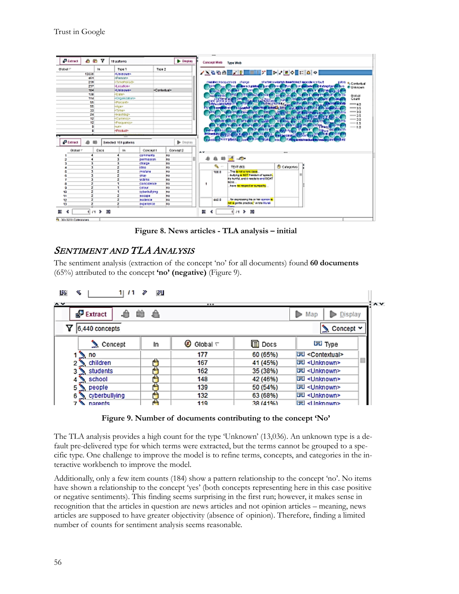|                           | a a   | Y            | 19 patents                    |                                                 | <b>Display</b>    |    |                                  | Concept Web Type Web                                                   |                                                     |                                                                             |                   |
|---------------------------|-------|--------------|-------------------------------|-------------------------------------------------|-------------------|----|----------------------------------|------------------------------------------------------------------------|-----------------------------------------------------|-----------------------------------------------------------------------------|-------------------|
| <b>Ollsball</b> T         |       | $\mathbf{1}$ | Tipe 1                        | Trow 2                                          |                   |    |                                  | <u>৴৲ຆຑໟ█▞∦███</u> ▞█⋗▞█◇█ઃ△○                                          |                                                     |                                                                             |                   |
|                           | 13036 |              | <b>MUSIC SWEE</b>             |                                                 |                   |    |                                  |                                                                        |                                                     |                                                                             |                   |
|                           | do1   |              | <b>«Person»</b>               |                                                 |                   |    |                                  |                                                                        |                                                     |                                                                             |                   |
|                           | 239   |              | <timepecat></timepecat>       |                                                 |                   |    |                                  | maratemesequences change                                               | she behave along to be entirely to positive a touch |                                                                             | 1914 & Contestual |
|                           | 237   |              | st eratione                   |                                                 |                   |    |                                  |                                                                        |                                                     | the motor in the filler will be will be a property of the state of a red in | <b>CUMMONS</b>    |
|                           | 104   |              | <b>HUSSING</b>                | .Contectual»                                    |                   |    |                                  |                                                                        | call for the                                        | <b><i><b>HORN COTTON</b></i></b><br><b>SALE</b>                             |                   |
|                           | 126   |              | <b>Cares</b>                  |                                                 |                   |    | <b>TEACHER</b>                   |                                                                        |                                                     |                                                                             | <b>DISOR</b>      |
|                           | 114   |              | <ceganization></ceganization> |                                                 |                   |    |                                  |                                                                        |                                                     | <b>STARTS</b>                                                               | Court             |
|                           | 55    |              | -Percent-                     |                                                 |                   |    | <b>HIGH VANDARD TO</b>           | <b>FRIGHT ENOTHER</b>                                                  |                                                     |                                                                             | $-10$             |
|                           | 55    |              | slger                         |                                                 |                   |    |                                  | of all in County of 14                                                 | more of speeds him are                              | <b>Advertising</b>                                                          | $-15$             |
|                           | 33    |              | «Time»                        |                                                 |                   |    |                                  | <b>Both and Daniel Contact</b>                                         |                                                     |                                                                             | $\rightarrow$     |
|                           | 24    |              | <b>Hathbay</b>                |                                                 |                   |    |                                  | <b>THE THE STATE OF STATE ROOM</b>                                     |                                                     |                                                                             | $-25$             |
|                           | 12    |              | <b>Cannon</b>                 |                                                 |                   |    |                                  | <b>STARTOGEN COMP</b><br>ex and in                                     |                                                     |                                                                             | $-20$             |
|                           | 12    |              | <b>Pregnericin</b>            |                                                 |                   |    |                                  | <b>MINTH BACK OF BUILDING</b>                                          | <b>ARRIVER</b>                                      | Cord #3.                                                                    | $-15$             |
|                           |       |              | na afar                       |                                                 |                   |    |                                  | <b><i><u>ALCOHOLSKY</u></i></b>                                        |                                                     | ns s                                                                        | $-1.0$            |
|                           |       |              | «Product»                     |                                                 |                   |    | <b>PEAK 1</b><br><b>Selling</b>  | 25 個別 ほう                                                               | 155,000                                             |                                                                             |                   |
|                           |       |              | <br>Selected 161 patients     |                                                 | <b>De Display</b> |    | <b><i><u>Instantials</u></i></b> | <b>CHILLING'S CITY IS NOT LEASED.</b><br>spended througher in the most | <b>State</b>                                        | <b>If Allegardstreductured ap-INTER FE</b>                                  |                   |
| <b>PERMIT</b><br>Olobal T |       | <b>Cuts</b>  | <b>M</b>                      | Consent 3<br>Concept 1<br><b>Comments</b><br>65 |                   | ** |                                  |                                                                        |                                                     |                                                                             |                   |
|                           |       |              |                               | permission<br><b>BR</b>                         |                   |    |                                  | <b>ABC - B</b>                                                         |                                                     |                                                                             |                   |
|                           |       |              | charge.                       | <b>BS</b>                                       |                   |    |                                  |                                                                        |                                                     |                                                                             |                   |
|                           |       |              | 1004                          | 80                                              |                   |    | ÷.<br>$\sim$                     | TEXT (80)                                                              | В сикротех                                          |                                                                             |                   |
|                           |       |              | <b>Philadistics</b>           | <b>MA</b>                                       |                   |    | 108.8                            | This is not a rare case.                                               |                                                     |                                                                             |                   |
|                           |       |              | <b>OR SH</b>                  | in a                                            |                   |    |                                  | bulying in N2T Freedom of apeeral,                                     |                                                     |                                                                             |                   |
|                           |       |              | MOSTER                        | <b>BS</b>                                       |                   |    |                                  | Es hurtful, and it needs to end RIGHT                                  |                                                     |                                                                             |                   |
| а                         |       |              |                               | <b>BS</b><br>CERCIONYCH                         |                   | ٠  |                                  | NOVL.                                                                  |                                                     |                                                                             |                   |
| ٥                         |       |              | calaur                        | in is                                           |                   |    |                                  | have to respect or sympaths                                            |                                                     |                                                                             |                   |
| 10                        | ٠     |              |                               | cyberbullung<br>32                              |                   |    |                                  |                                                                        |                                                     |                                                                             |                   |
| 11                        |       |              | <b>41CIC6</b>                 | <b>BS</b>                                       |                   |    |                                  |                                                                        |                                                     |                                                                             |                   |
| u                         |       |              | 00030508                      | <b>BS</b>                                       |                   |    | 440.5                            | for expressing his or her spinks is                                    |                                                     |                                                                             |                   |
| 13                        |       |              |                               | 80<br>experience                                |                   |    |                                  | hat a centle practice," white Munei                                    |                                                     |                                                                             |                   |

**Figure 8. News articles - TLA analysis – initial**

### SENTIMENT AND TLA ANALYSIS

The sentiment analysis (extraction of the concept 'no' for all documents) found **60 documents** (65%) attributed to the concept **'no' (negative)** (Figure 9).

| US.<br>⋖<br>1   11<br>$\sim$ | ଆ<br>v |                             |          |                             | $\lambda$ |
|------------------------------|--------|-----------------------------|----------|-----------------------------|-----------|
| ô<br><b>P</b> Extract        | 单合     |                             |          | Display<br>Map              |           |
| Υ<br>6,440 concepts          |        |                             |          | Concept Y                   |           |
| $\sum$ Concept               | In     | $\circledast$ Global $\tau$ | 目 Docs   | 园 Type                      |           |
| $1 \geq n$                   |        | 177                         | 60 (65%) | 园 <contextual></contextual> |           |
| 2 children                   |        | 167                         | 41 (45%) | 园 <unknown></unknown>       |           |
| 3 Students                   |        | 162                         | 35 (38%) | 园 <unknown></unknown>       |           |
| school                       |        | 148                         | 42 (46%) | 园 <unknown></unknown>       |           |
| 5 people                     |        | 139                         | 50 (54%) | 园 <unknown></unknown>       |           |
| cyberbullying<br>6           |        | 132                         | 63 (68%) | 园 <unknown></unknown>       |           |
| narents                      |        | 119                         | 38 (41%) | 园 <tinknown></tinknown>     |           |

**Figure 9. Number of documents contributing to the concept 'No'**

The TLA analysis provides a high count for the type 'Unknown' (13,036). An unknown type is a default pre-delivered type for which terms were extracted, but the terms cannot be grouped to a specific type. One challenge to improve the model is to refine terms, concepts, and categories in the interactive workbench to improve the model.

Additionally, only a few item counts (184) show a pattern relationship to the concept 'no'. No items have shown a relationship to the concept 'yes' (both concepts representing here in this case positive or negative sentiments). This finding seems surprising in the first run; however, it makes sense in recognition that the articles in question are news articles and not opinion articles – meaning, news articles are supposed to have greater objectivity (absence of opinion). Therefore, finding a limited number of counts for sentiment analysis seems reasonable.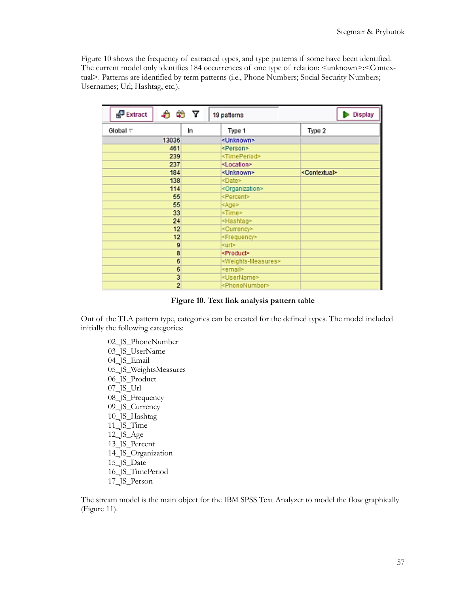Figure 10 shows the frequency of extracted types, and type patterns if some have been identified. The current model only identifies 184 occurrences of one type of relation: <unknown>:<Contextual>. Patterns are identified by term patterns (i.e., Phone Numbers; Social Security Numbers; Usernames; Url; Hashtag, etc.).

| 8 N Y<br>Extract  |    | 19 patterns                           | Display                   |
|-------------------|----|---------------------------------------|---------------------------|
| Global $\tau$     | In | Type 1                                | Type 2                    |
| 13036             |    | <unknown></unknown>                   |                           |
| 461               |    | <person></person>                     |                           |
| 239               |    | <timeperiod></timeperiod>             |                           |
| 237               |    | <location></location>                 |                           |
| 184               |    | <unknown></unknown>                   | <contextual></contextual> |
| 138               |    | <date></date>                         |                           |
| 114               |    | <organization></organization>         |                           |
| 55                |    | <percent></percent>                   |                           |
| 55                |    | <age></age>                           |                           |
| 33                |    | <time></time>                         |                           |
| 24                |    | <hashtag></hashtag>                   |                           |
| 12                |    | <currency></currency>                 |                           |
| $12 \overline{ }$ |    | <frequency></frequency>               |                           |
| 9                 |    | <url></url>                           |                           |
| 8                 |    | <product></product>                   |                           |
| 6                 |    | <weights-measures></weights-measures> |                           |
| 6                 |    | <email></email>                       |                           |
| 3                 |    | <username></username>                 |                           |
| 2                 |    | <phonenumber></phonenumber>           |                           |

**Figure 10. Text link analysis pattern table**

Out of the TLA pattern type, categories can be created for the defined types. The model included initially the following categories:

02\_JS\_PhoneNumber 03\_JS\_UserName 04\_JS\_Email 05\_JS\_WeightsMeasures 06\_JS\_Product 07\_JS\_Url 08\_JS\_Frequency 09\_JS\_Currency 10\_JS\_Hashtag 11\_JS\_Time 12\_JS\_Age 13\_JS\_Percent 14\_JS\_Organization 15<sup> JS</sup> Date 16\_JS\_TimePeriod 17\_JS\_Person

The stream model is the main object for the IBM SPSS Text Analyzer to model the flow graphically (Figure 11).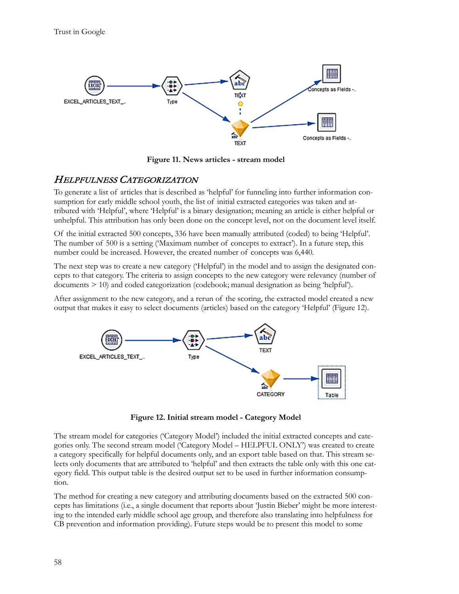

**Figure 11. News articles - stream model**

### HELPFULNESS CATEGORIZATION

To generate a list of articles that is described as 'helpful' for funneling into further information consumption for early middle school youth, the list of initial extracted categories was taken and attributed with 'Helpful', where 'Helpful' is a binary designation; meaning an article is either helpful or unhelpful. This attribution has only been done on the concept level, not on the document level itself.

Of the initial extracted 500 concepts, 336 have been manually attributed (coded) to being 'Helpful'. The number of 500 is a setting ('Maximum number of concepts to extract'). In a future step, this number could be increased. However, the created number of concepts was 6,440.

The next step was to create a new category ('Helpful') in the model and to assign the designated concepts to that category. The criteria to assign concepts to the new category were relevancy (number of documents > 10) and coded categorization (codebook; manual designation as being 'helpful').

After assignment to the new category, and a rerun of the scoring, the extracted model created a new output that makes it easy to select documents (articles) based on the category 'Helpful' (Figure 12).



**Figure 12. Initial stream model - Category Model**

The stream model for categories ('Category Model') included the initial extracted concepts and categories only. The second stream model ('Category Model – HELPFUL ONLY') was created to create a category specifically for helpful documents only, and an export table based on that. This stream selects only documents that are attributed to 'helpful' and then extracts the table only with this one category field. This output table is the desired output set to be used in further information consumption.

The method for creating a new category and attributing documents based on the extracted 500 concepts has limitations (i.e., a single document that reports about 'Justin Bieber' might be more interesting to the intended early middle school age group, and therefore also translating into helpfulness for CB prevention and information providing). Future steps would be to present this model to some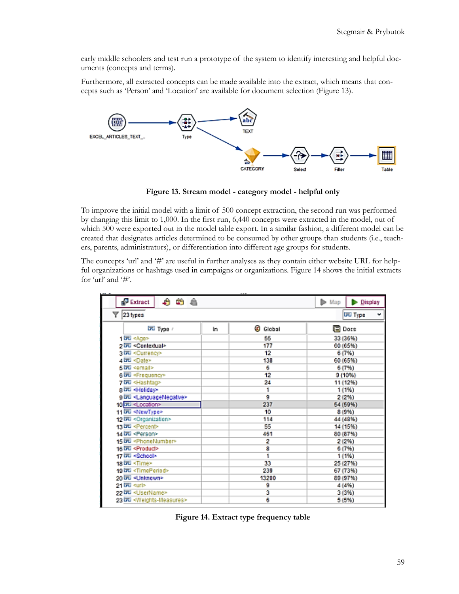early middle schoolers and test run a prototype of the system to identify interesting and helpful documents (concepts and terms).

Furthermore, all extracted concepts can be made available into the extract, which means that concepts such as 'Person' and 'Location' are available for document selection (Figure 13).



**Figure 13. Stream model - category model - helpful only**

To improve the initial model with a limit of 500 concept extraction, the second run was performed by changing this limit to 1,000. In the first run, 6,440 concepts were extracted in the model, out of which 500 were exported out in the model table export. In a similar fashion, a different model can be created that designates articles determined to be consumed by other groups than students (i.e., teachers, parents, administrators), or differentiation into different age groups for students.

The concepts 'url' and '#' are useful in further analyses as they contain either website URL for helpful organizations or hashtags used in campaigns or organizations. Figure 14 shows the initial extracts for 'url' and '#'.

| $-$                                           |     | 1.11         |                                           |
|-----------------------------------------------|-----|--------------|-------------------------------------------|
| 白的自<br>Extract                                |     |              | $\blacktriangleright$ Map<br>Display<br>D |
| Y<br>23 types                                 |     |              | <b>Urd</b> Type<br>٠                      |
| <b>DEL Type</b>                               | în. | C.<br>Global | 9 Dors                                    |
| 1 词 <age></age>                               |     | 55           | 33 (36%)                                  |
| 2 DU <contextual></contextual>                |     | 177          | 60 (65%)                                  |
| 3 DU <currency></currency>                    |     | 12           | 6 (7%)                                    |
| 4 LTL <date></date>                           |     | 138          | 60 (65%)                                  |
| 5团 <email></email>                            |     | 6            | 6 (7%)                                    |
| 6 DE <frequency></frequency>                  |     | 12           | 9 (10%)                                   |
| 7 词 <hashtag></hashtag>                       |     | 24           | 11 (12%)                                  |
| a LTC <holiday></holiday>                     |     | 1            | 1(1%)                                     |
| g Littl <languagenegative></languagenegative> |     | 9            | 2 (2%)                                    |
| 10 Jul <location></location>                  |     | 237          | 54 (59%)                                  |
| 11 园 <newtype></newtype>                      |     | 10           | 8 (9%)                                    |
| 12 DU <organization></organization>           |     | 114          | 44 (48%)                                  |
| 13 DD <percent></percent>                     |     | 55           | 14 (15%)                                  |
| 14 DD <person></person>                       |     | 461          | 80 (87%)                                  |
| 15 园 <phonenumber></phonenumber>              |     | 2            | 2 (2%)                                    |
| 16 Dil <product></product>                    |     | 8            | 6 (7%)                                    |
| 17 词 <school></school>                        |     | 1            | 1(1%)                                     |
| 18 LE <time></time>                           |     | 33           | 25 (27%)                                  |
| 19 园 <timeperiod></timeperiod>                |     | 239          | 67 (73%)                                  |
| 20 玩 <unknown></unknown>                      |     | 13200        | 89 (97%)                                  |
| 21 DD <url></url>                             |     | 9            | 4 (4%)                                    |
| 22 DD <username></username>                   |     | з            | 3 (3%)                                    |
| 23 DD <weights-measures></weights-measures>   |     | 6            | 5 (5%)                                    |

**Figure 14. Extract type frequency table**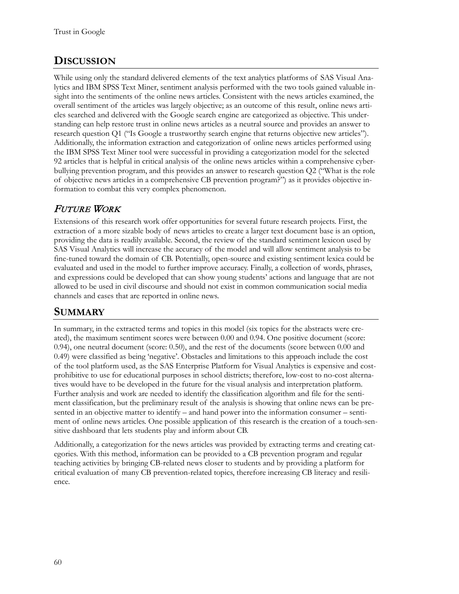# **DISCUSSION**

While using only the standard delivered elements of the text analytics platforms of SAS Visual Analytics and IBM SPSS Text Miner, sentiment analysis performed with the two tools gained valuable insight into the sentiments of the online news articles. Consistent with the news articles examined, the overall sentiment of the articles was largely objective; as an outcome of this result, online news articles searched and delivered with the Google search engine are categorized as objective. This understanding can help restore trust in online news articles as a neutral source and provides an answer to research question Q1 ("Is Google a trustworthy search engine that returns objective new articles"). Additionally, the information extraction and categorization of online news articles performed using the IBM SPSS Text Miner tool were successful in providing a categorization model for the selected 92 articles that is helpful in critical analysis of the online news articles within a comprehensive cyberbullying prevention program, and this provides an answer to research question Q2 ("What is the role of objective news articles in a comprehensive CB prevention program?") as it provides objective information to combat this very complex phenomenon.

# FUTURE WORK

Extensions of this research work offer opportunities for several future research projects. First, the extraction of a more sizable body of news articles to create a larger text document base is an option, providing the data is readily available. Second, the review of the standard sentiment lexicon used by SAS Visual Analytics will increase the accuracy of the model and will allow sentiment analysis to be fine-tuned toward the domain of CB. Potentially, open-source and existing sentiment lexica could be evaluated and used in the model to further improve accuracy. Finally, a collection of words, phrases, and expressions could be developed that can show young students' actions and language that are not allowed to be used in civil discourse and should not exist in common communication social media channels and cases that are reported in online news.

# **SUMMARY**

In summary, in the extracted terms and topics in this model (six topics for the abstracts were created), the maximum sentiment scores were between 0.00 and 0.94. One positive document (score: 0.94), one neutral document (score: 0.50), and the rest of the documents (score between 0.00 and 0.49) were classified as being 'negative'. Obstacles and limitations to this approach include the cost of the tool platform used, as the SAS Enterprise Platform for Visual Analytics is expensive and costprohibitive to use for educational purposes in school districts; therefore, low-cost to no-cost alternatives would have to be developed in the future for the visual analysis and interpretation platform. Further analysis and work are needed to identify the classification algorithm and file for the sentiment classification, but the preliminary result of the analysis is showing that online news can be presented in an objective matter to identify – and hand power into the information consumer – sentiment of online news articles. One possible application of this research is the creation of a touch-sensitive dashboard that lets students play and inform about CB.

Additionally, a categorization for the news articles was provided by extracting terms and creating categories. With this method, information can be provided to a CB prevention program and regular teaching activities by bringing CB-related news closer to students and by providing a platform for critical evaluation of many CB prevention-related topics, therefore increasing CB literacy and resilience.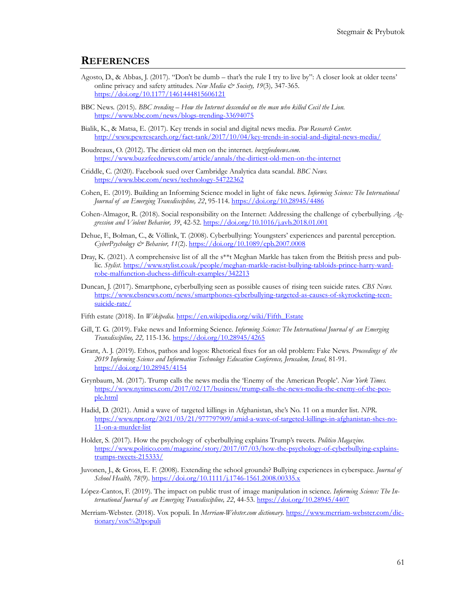#### **REFERENCES**

- Agosto, D., & Abbas, J. (2017). "Don't be dumb that's the rule I try to live by": A closer look at older teens' online privacy and safety attitudes. *New Media & Society, 19*(3)*,* 347-365. <https://doi.org/10.1177/1461444815606121>
- BBC News. (2015). *BBC trending – How the Internet descended on the man who killed Cecil the Lion.* [https://www.bbc.com/news/blogs](https://www.bbc.com/news/blogs-trending-33694075)-trending-33694075
- Bialik, K., & Matsa, E. (2017). Key trends in social and digital news media. *Pew Research Center.* [http://www.pewresearch.org/fact](http://www.pewresearch.org/fact-tank/2017/10/04/key-trends-in-social-and-digital-news-media/)-tank/2017/10/04/key-trends-in-social-and-digital-news-media/
- Boudreaux, O. (2012). The dirtiest old men on the internet. *buzzfeednews.com.* [https://www.buzzfeednews.com/article/annals/the](https://www.buzzfeednews.com/article/annals/the-dirtiest-old-men-on-the-internet)-dirtiest-old-men-on-the-internet
- Criddle, C. (2020). Facebook sued over Cambridge Analytica data scandal. *BBC News.* [https://www.bbc.com/news/techn](https://www.bbc.com/news/technology-54722362)ology-54722362
- Cohen, E. (2019). Building an Informing Science model in light of fake news. *Informing Science: The International*  Journal of an Emerging Transdiscipline, 22, 95-114. <https://doi.org/10.28945/4486>
- Cohen-Almagor, R. (2018). Social responsibility on the Internet: Addressing the challenge of cyberbullying. *Aggression and Violent Behavior, 39*, 42-52. <https://doi.org/10.1016/j.avb.2018.01.001>
- Dehue, F., Bolman, C., & Völlink, T. (2008). Cyberbullying: Youngsters' experiences and parental perception. *CyberPsychology & Behavior, 11*(2). <https://doi.org/10.1089/cpb.2007.0008>
- Dray, K. (2021). A comprehensive list of all the s\*\*t Meghan Markle has taken from the British press and public. *Stylist*. [https://www.stylist.co.uk/people/meghan](https://www.stylist.co.uk/people/meghan-markle-racist-bullying-tabloids-prince-harry-wardrobe-malfunction-duchess-difficult-examples/342213)-markle-racist-bullying-tabloids-prince-harry-wardrobe-malfunction-duchess-difficult-[examples/342213](https://www.stylist.co.uk/people/meghan-markle-racist-bullying-tabloids-prince-harry-wardrobe-malfunction-duchess-difficult-examples/342213)
- Duncan, J. (2017). Smartphone, cyberbullying seen as possible causes of rising teen suicide rates. *CBS News*. [https://www.cbsnews.com/news/smartphones](https://www.cbsnews.com/news/smartphones-cyberbullying-targeted-as-causes-of-skyrocketing-teen-suicide-rate/)-cyberbullying-targeted-as-causes-of-skyrocketing-teen[suicide](https://www.cbsnews.com/news/smartphones-cyberbullying-targeted-as-causes-of-skyrocketing-teen-suicide-rate/)-rate/
- Fifth estate (2018). In *Wikipedia*. [https://en.wikipedia.org/wiki/Fifth\\_Estate](https://en.wikipedia.org/wiki/Fifth_Estate)
- Gill, T. G. (2019). Fake news and Informing Science. *Informing Science: The International Journal of an Emerging Transdiscipline, 22,* 115-136. <https://doi.org/10.28945/4265>
- Grant, A. J. (2019). Ethos, pathos and logos: Rhetorical fixes for an old problem: Fake News. *Proceedings of the 2019 Informing Science and Information Technology Education Conference, Jerusalem, Israel,* 81-91. <https://doi.org/10.28945/4154>
- Grynbaum, M. (2017). Trump calls the news media the 'Enemy of the American People'. *New York Times.* [https://www.nytimes.com/2017/02/17/business/trump](https://www.nytimes.com/2017/02/17/business/trump-calls-the-news-media-the-enemy-of-the-people.html)-calls-the-news-media-the-enemy-of-the-peo[ple.html](https://www.nytimes.com/2017/02/17/business/trump-calls-the-news-media-the-enemy-of-the-people.html)
- Hadid, D. (2021). Amid a wave of targeted killings in Afghanistan, she's No. 11 on a murder list. *NPR.* [https://www.npr.org/2021/03/21/977797909/amid](https://www.npr.org/2021/03/21/977797909/amid-a-wave-of-targeted-killings-in-afghanistan-shes-no-11-on-a-murder-list)-a-wave-of-targeted-killings-in-afghanistan-shes-no-[11-on-a-](https://www.npr.org/2021/03/21/977797909/amid-a-wave-of-targeted-killings-in-afghanistan-shes-no-11-on-a-murder-list)murder-list
- Holder, S. (2017). How the psychology of cyberbullying explains Trump's tweets. *Politico Magazine.* [https://www.politico.com/magazine/story/2017/07/03/how](https://www.politico.com/magazine/story/2017/07/03/how-the-psychology-of-cyberbullying-explains-trumps-tweets-215333/)-the-psychology-of-cyberbullying-explainstrumps-tweets-[215333/](https://www.politico.com/magazine/story/2017/07/03/how-the-psychology-of-cyberbullying-explains-trumps-tweets-215333/)
- Juvonen, J., & Gross, E. F. (2008). Extending the school grounds? Bullying experiences in cyberspace. *Journal of School Health, 78*(9). [https://doi.org/10.1111/j.1746](https://doi.org/10.1111/j.1746-1561.2008.00335.x)-1561.2008.00335.x
- López-Cantos, F. (2019). The impact on public trust of image manipulation in science. *Informing Science: The International Journal of an Emerging Transdiscipline, 22*, 44-53.<https://doi.org/10.28945/4407>
- Merriam-Webster. (2018). Vox populi. In *Merriam-Webster.com dictionary.* [https://www.merriam](https://www.merriam-webster.com/dictionary/vox%20populi)-webster.com/dic[tionary/vox%20populi](https://www.merriam-webster.com/dictionary/vox%20populi)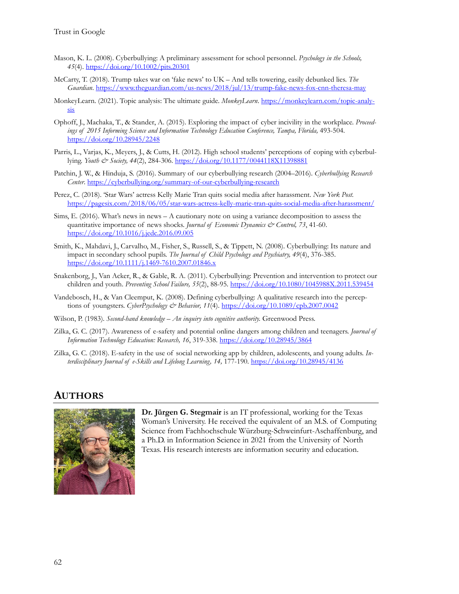- Mason, K. L. (2008). Cyberbullying: A preliminary assessment for school personnel. *Psychology in the Schools, 45*(4). <https://doi.org/10.1002/pits.20301>
- McCarty, T. (2018). Trump takes war on 'fake news' to UK And tells towering, easily debunked lies. *The Guardian*. [https://www.theguardian.com/us](https://www.theguardian.com/us-news/2018/jul/13/trump-fake-news-fox-cnn-theresa-may)-news/2018/jul/13/trump-fake-news-fox-cnn-theresa-may
- MonkeyLearn. (2021). Topic analysis: The ultimate guide. *MonkeyLearn*. [https://monkeylearn.com/topic](https://monkeylearn.com/topic-analysis)-analy[sis](https://monkeylearn.com/topic-analysis)
- Ophoff, J., Machaka, T., & Stander, A. (2015). Exploring the impact of cyber incivility in the workplace. *Proceedings of 2015 Informing Science and Information Technology Education Conference, Tampa, Florida,* 493-504. <https://doi.org/10.28945/2248>
- Parris, L., Varjas, K., Meyers, J., & Cutts, H. (2012). High school students' perceptions of coping with cyberbullying. *Youth & Society, 44*(2), 284-306. <https://doi.org/10.1177/0044118X11398881>
- Patchin, J. W., & Hinduja, S. (2016). Summary of our cyberbullying research (2004–2016). *Cyberbullying Research Center*. [https://cyberbullying.org/summary](https://cyberbullying.org/summary-of-our-cyberbullying-research)-of-our-cyberbullying-research
- Perez, C. (2018). 'Star Wars' actress Kelly Marie Tran quits social media after harassment. *New York Post.* [https://pagesix.com/2018/06/05/star](https://pagesix.com/2018/06/05/star-wars-actress-kelly-marie-tran-quits-social-media-after-harassment/)-wars-actress-kelly-marie-tran-quits-social-media-after-harassment/
- Sims, E. (2016). What's news in news A cautionary note on using a variance decomposition to assess the quantitative importance of news shocks. *Journal of Economic Dynamics & Control, 73*, 41-60. <https://doi.org/10.1016/j.jedc.2016.09.005>
- Smith, K., Mahdavi, J., Carvalho, M., Fisher, S., Russell, S., & Tippett, N. (2008). Cyberbullying: Its nature and impact in secondary school pupils. *The Journal of Child Psychology and Psychiatry, 49*(4), 376-385. [https://doi.org/10.1111/j.1469](https://doi.org/10.1111/j.1469-7610.2007.01846.x)-7610.2007.01846.x
- Snakenborg, J., Van Acker, R., & Gable, R. A. (2011). Cyberbullying: Prevention and intervention to protect our children and youth. *Preventing School Failure, 55*(2), 88-95. <https://doi.org/10.1080/1045988X.2011.539454>
- Vandebosch, H., & Van Cleemput, K. (2008). Defining cyberbullying: A qualitative research into the perceptions of youngsters. *CyberPsychology & Behavior, 11*(4). <https://doi.org/10.1089/cpb.2007.0042>
- Wilson, P. (1983). *Second-hand knowledge – An inquiry into cognitive authority.* Greenwood Press.
- Zilka, G. C. (2017). Awareness of e-safety and potential online dangers among children and teenagers. *Journal of Information Technology Education: Research, 16*, 319-338.<https://doi.org/10.28945/3864>
- Zilka, G. C. (2018). E-safety in the use of social networking app by children, adolescents, and young adults. *Interdisciplinary Journal of e-Skills and Lifelong Learning, 14,* 177-190.<https://doi.org/10.28945/4136>

# **AUTHORS**



**Dr. Jürgen G. Stegmair** is an IT professional, working for the Texas Woman's University. He received the equivalent of an M.S. of Computing Science from Fachhochschule Würzburg-Schweinfurt-Aschaffenburg, and a Ph.D. in Information Science in 2021 from the University of North Texas. His research interests are information security and education.